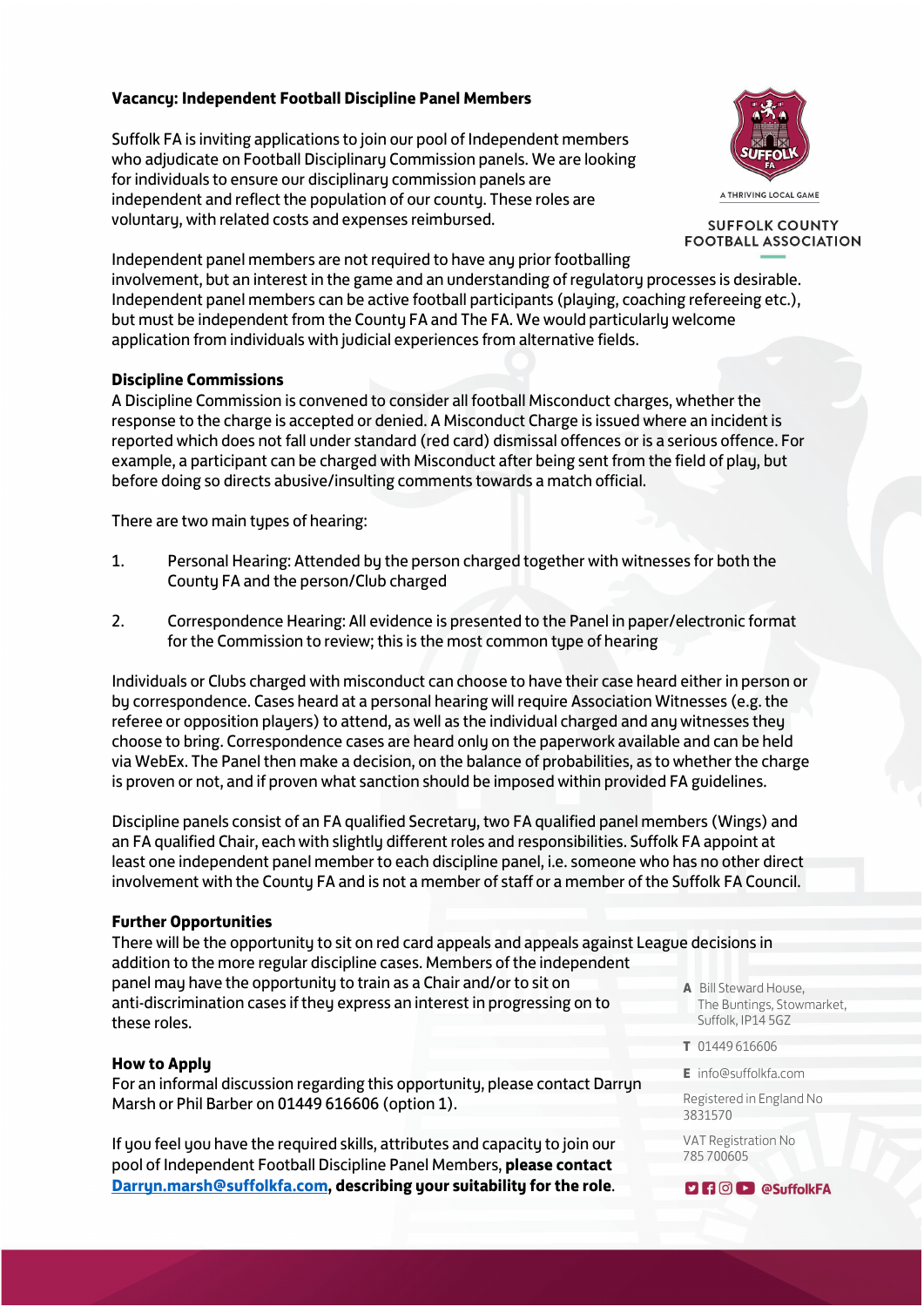## **Vacancy: Independent Football Discipline Panel Members**

Suffolk FA is inviting applications to join our pool of Independent members who adjudicate on Football Disciplinary Commission panels. We are looking for individuals to ensure our disciplinary commission panels are independent and reflect the population of our county. These roles are voluntary, with related costs and expenses reimbursed.



A THRIVING LOCAL GAME

**SUFFOLK COUNTY FOOTBALL ASSOCIATION** 

Independent panel members are not required to have any prior footballing involvement, but an interest in the game and an understanding of regulatory processes is desirable. Independent panel members can be active football participants (playing, coaching refereeing etc.), but must be independent from the County FA and The FA. We would particularly welcome application from individuals with judicial experiences from alternative fields.

## **Discipline Commissions**

A Discipline Commission is convened to consider all football Misconduct charges, whether the response to the charge is accepted or denied. A Misconduct Charge is issued where an incident is reported which does not fall under standard (red card) dismissal offences or is a serious offence. For example, a participant can be charged with Misconduct after being sent from the field of play, but before doing so directs abusive/insulting comments towards a match official.

There are two main types of hearing:

- 1. Personal Hearing: Attended by the person charged together with witnesses for both the County FA and the person/Club charged
- 2. Correspondence Hearing: All evidence is presented to the Panel in paper/electronic format for the Commission to review; this is the most common type of hearing

Individuals or Clubs charged with misconduct can choose to have their case heard either in person or by correspondence. Cases heard at a personal hearing will require Association Witnesses (e.g. the referee or opposition players) to attend, as well as the individual charged and any witnesses they choose to bring. Correspondence cases are heard only on the paperwork available and can be held via WebEx. The Panel then make a decision, on the balance of probabilities, as to whether the charge is proven or not, and if proven what sanction should be imposed within provided FA guidelines.

Discipline panels consist of an FA qualified Secretary, two FA qualified panel members (Wings) and an FA qualified Chair, each with slightly different roles and responsibilities. Suffolk FA appoint at least one independent panel member to each discipline panel, i.e. someone who has no other direct involvement with the County FA and is not a member of staff or a member of the Suffolk FA Council.

#### **Further Opportunities**

There will be the opportunity to sit on red card appeals and appeals against League decisions in addition to the more regular discipline cases. Members of the independent panel may have the opportunity to train as a Chair and/or to sit on anti-discrimination cases if they express an interest in progressing on to these roles.

#### **How to Apply**

For an informal discussion regarding this opportunity, please contact Darryn Marsh or Phil Barber on 01449 616606 (option 1).

If you feel you have the required skills, attributes and capacity to join our pool of Independent Football Discipline Panel Members, **please contact [Darryn.marsh@suffolkfa.com,](mailto:Darryn.marsh@suffolkfa.com) describing your suitability for the role**.

- **A** Bill Steward House, The Buntings, Stowmarket, Suffolk, IP14 5GZ
- **T** 01449 616606
- **E** info@suffolkfa.com

Registered in England No 3831570

VAT Registration No 785 700605